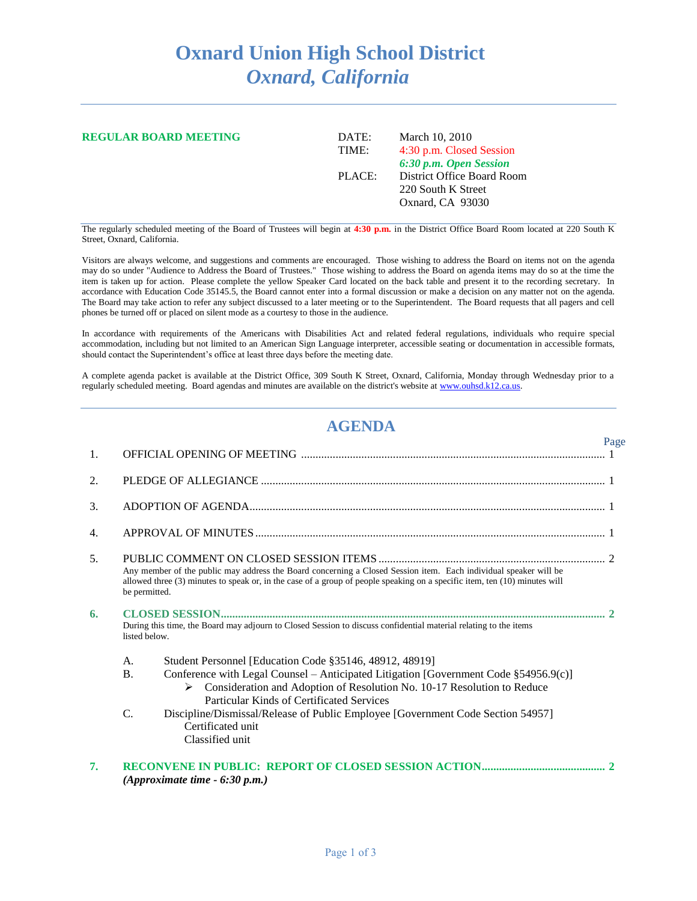## **Oxnard Union High School District** *Oxnard, California*

| <b>REGULAR BOARD MEETING</b> | DATE:<br>TIME: | March 10, 2010<br>4:30 p.m. Closed Session<br>6:30 p.m. Open Session |  |
|------------------------------|----------------|----------------------------------------------------------------------|--|
|                              | PLACE:         | District Office Board Room<br>220 South K Street<br>Oxnard, CA 93030 |  |

The regularly scheduled meeting of the Board of Trustees will begin at **4:30 p.m.** in the District Office Board Room located at 220 South K Street, Oxnard, California.

Visitors are always welcome, and suggestions and comments are encouraged. Those wishing to address the Board on items not on the agenda may do so under "Audience to Address the Board of Trustees." Those wishing to address the Board on agenda items may do so at the time the item is taken up for action. Please complete the yellow Speaker Card located on the back table and present it to the recording secretary. In accordance with Education Code 35145.5, the Board cannot enter into a formal discussion or make a decision on any matter not on the agenda. The Board may take action to refer any subject discussed to a later meeting or to the Superintendent. The Board requests that all pagers and cell phones be turned off or placed on silent mode as a courtesy to those in the audience.

In accordance with requirements of the Americans with Disabilities Act and related federal regulations, individuals who require special accommodation, including but not limited to an American Sign Language interpreter, accessible seating or documentation in accessible formats, should contact the Superintendent's office at least three days before the meeting date.

A complete agenda packet is available at the District Office, 309 South K Street, Oxnard, California, Monday through Wednesday prior to a regularly scheduled meeting. Board agendas and minutes are available on the district's website a[t www.ouhsd.k12.ca.us.](http://www.ouhsd.k12.ca.us/)

## **AGENDA**

|    |               |                                                                                                                                                                                                                                                | Page |
|----|---------------|------------------------------------------------------------------------------------------------------------------------------------------------------------------------------------------------------------------------------------------------|------|
| 1. |               |                                                                                                                                                                                                                                                |      |
| 2. |               |                                                                                                                                                                                                                                                |      |
| 3. |               |                                                                                                                                                                                                                                                |      |
| 4. |               |                                                                                                                                                                                                                                                |      |
| 5. | be permitted. | Any member of the public may address the Board concerning a Closed Session item. Each individual speaker will be<br>allowed three (3) minutes to speak or, in the case of a group of people speaking on a specific item, ten (10) minutes will |      |
| 6. | listed below. | During this time, the Board may adjourn to Closed Session to discuss confidential material relating to the items                                                                                                                               |      |
|    | А.            | Student Personnel [Education Code §35146, 48912, 48919]                                                                                                                                                                                        |      |
|    | <b>B.</b>     | Conference with Legal Counsel – Anticipated Litigation [Government Code $\S 54956.9(c)$ ]<br>$\triangleright$ Consideration and Adoption of Resolution No. 10-17 Resolution to Reduce<br>Particular Kinds of Certificated Services             |      |
|    | C.            | Discipline/Dismissal/Release of Public Employee [Government Code Section 54957]<br>Certificated unit<br>Classified unit                                                                                                                        |      |
| 7. |               | (Approximate time $-6:30$ p.m.)                                                                                                                                                                                                                |      |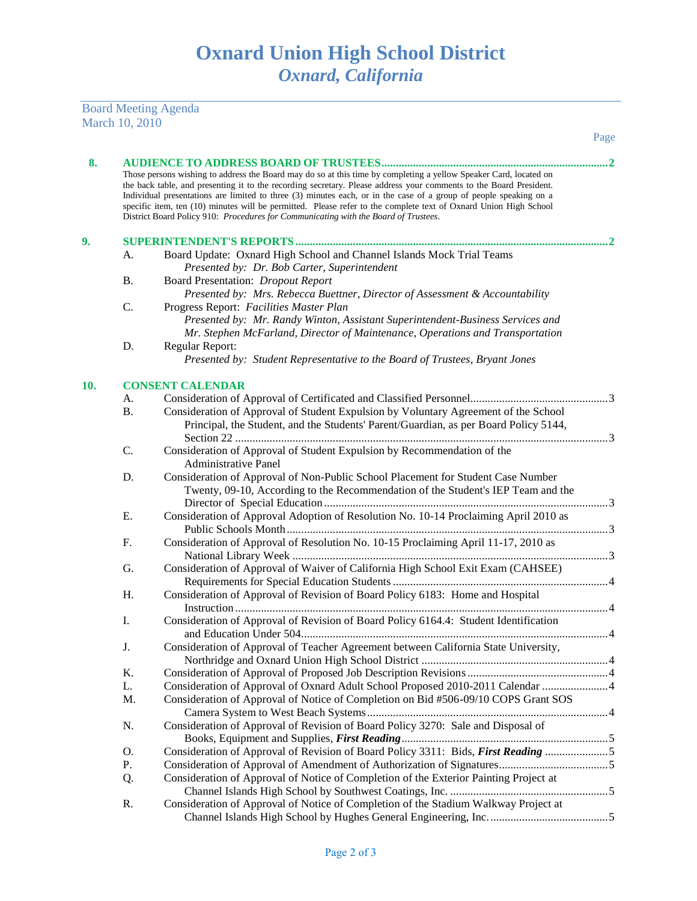Board Meeting Agenda March 10, 2010

|     |           |                                                                                                                                                                                                                                                                                                                                                                                                                                                                                                                                                                         | Page |
|-----|-----------|-------------------------------------------------------------------------------------------------------------------------------------------------------------------------------------------------------------------------------------------------------------------------------------------------------------------------------------------------------------------------------------------------------------------------------------------------------------------------------------------------------------------------------------------------------------------------|------|
| 8.  |           |                                                                                                                                                                                                                                                                                                                                                                                                                                                                                                                                                                         |      |
|     |           | Those persons wishing to address the Board may do so at this time by completing a yellow Speaker Card, located on<br>the back table, and presenting it to the recording secretary. Please address your comments to the Board President.<br>Individual presentations are limited to three (3) minutes each, or in the case of a group of people speaking on a<br>specific item, ten (10) minutes will be permitted. Please refer to the complete text of Oxnard Union High School<br>District Board Policy 910: Procedures for Communicating with the Board of Trustees. |      |
| 9.  |           |                                                                                                                                                                                                                                                                                                                                                                                                                                                                                                                                                                         |      |
|     | А.        | Board Update: Oxnard High School and Channel Islands Mock Trial Teams<br>Presented by: Dr. Bob Carter, Superintendent                                                                                                                                                                                                                                                                                                                                                                                                                                                   |      |
|     | <b>B.</b> | Board Presentation: Dropout Report<br>Presented by: Mrs. Rebecca Buettner, Director of Assessment & Accountability                                                                                                                                                                                                                                                                                                                                                                                                                                                      |      |
|     | C.        | Progress Report: Facilities Master Plan<br>Presented by: Mr. Randy Winton, Assistant Superintendent-Business Services and<br>Mr. Stephen McFarland, Director of Maintenance, Operations and Transportation                                                                                                                                                                                                                                                                                                                                                              |      |
|     | D.        | Regular Report:                                                                                                                                                                                                                                                                                                                                                                                                                                                                                                                                                         |      |
|     |           | Presented by: Student Representative to the Board of Trustees, Bryant Jones                                                                                                                                                                                                                                                                                                                                                                                                                                                                                             |      |
| 10. |           | <b>CONSENT CALENDAR</b>                                                                                                                                                                                                                                                                                                                                                                                                                                                                                                                                                 |      |
|     | А.        |                                                                                                                                                                                                                                                                                                                                                                                                                                                                                                                                                                         |      |
|     | <b>B.</b> | Consideration of Approval of Student Expulsion by Voluntary Agreement of the School<br>Principal, the Student, and the Students' Parent/Guardian, as per Board Policy 5144,                                                                                                                                                                                                                                                                                                                                                                                             |      |
|     | C.        | Consideration of Approval of Student Expulsion by Recommendation of the<br><b>Administrative Panel</b>                                                                                                                                                                                                                                                                                                                                                                                                                                                                  |      |
|     | D.        | Consideration of Approval of Non-Public School Placement for Student Case Number<br>Twenty, 09-10, According to the Recommendation of the Student's IEP Team and the                                                                                                                                                                                                                                                                                                                                                                                                    |      |
|     | Ε.        | Consideration of Approval Adoption of Resolution No. 10-14 Proclaiming April 2010 as                                                                                                                                                                                                                                                                                                                                                                                                                                                                                    |      |
|     | F.        | Consideration of Approval of Resolution No. 10-15 Proclaiming April 11-17, 2010 as                                                                                                                                                                                                                                                                                                                                                                                                                                                                                      |      |
|     | G.        | Consideration of Approval of Waiver of California High School Exit Exam (CAHSEE)                                                                                                                                                                                                                                                                                                                                                                                                                                                                                        |      |
|     | H.        | Consideration of Approval of Revision of Board Policy 6183: Home and Hospital                                                                                                                                                                                                                                                                                                                                                                                                                                                                                           |      |
|     | I.        | Consideration of Approval of Revision of Board Policy 6164.4: Student Identification                                                                                                                                                                                                                                                                                                                                                                                                                                                                                    |      |
|     | J.        | Consideration of Approval of Teacher Agreement between California State University,                                                                                                                                                                                                                                                                                                                                                                                                                                                                                     |      |
|     | K.        |                                                                                                                                                                                                                                                                                                                                                                                                                                                                                                                                                                         |      |
|     | L.        | Consideration of Approval of Oxnard Adult School Proposed 2010-2011 Calendar  4                                                                                                                                                                                                                                                                                                                                                                                                                                                                                         |      |
|     | M.        | Consideration of Approval of Notice of Completion on Bid #506-09/10 COPS Grant SOS                                                                                                                                                                                                                                                                                                                                                                                                                                                                                      |      |
|     | N.        | Consideration of Approval of Revision of Board Policy 3270: Sale and Disposal of                                                                                                                                                                                                                                                                                                                                                                                                                                                                                        |      |
|     | O.        | Consideration of Approval of Revision of Board Policy 3311: Bids, First Reading 5                                                                                                                                                                                                                                                                                                                                                                                                                                                                                       |      |
|     | Ρ.        |                                                                                                                                                                                                                                                                                                                                                                                                                                                                                                                                                                         |      |
|     | Q.        | Consideration of Approval of Notice of Completion of the Exterior Painting Project at                                                                                                                                                                                                                                                                                                                                                                                                                                                                                   |      |
|     | R.        | Consideration of Approval of Notice of Completion of the Stadium Walkway Project at                                                                                                                                                                                                                                                                                                                                                                                                                                                                                     |      |